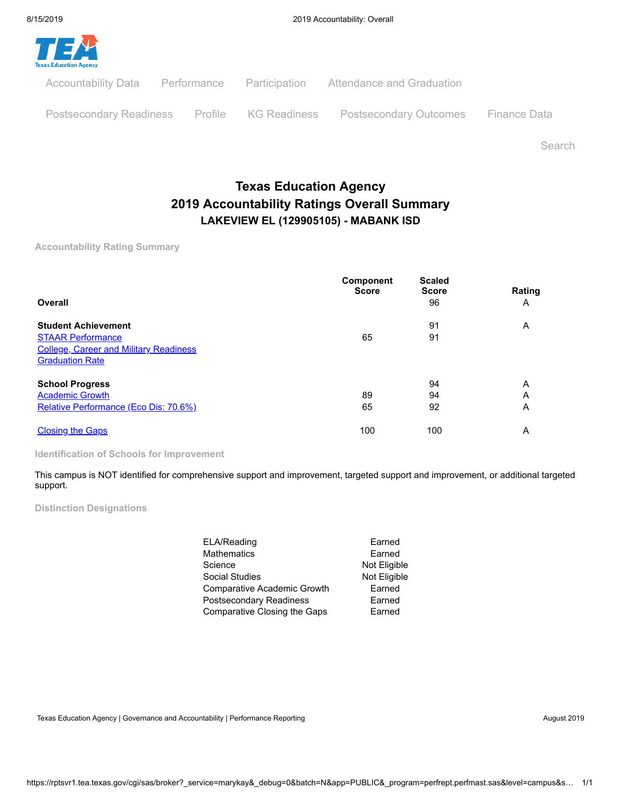

Search

# **Texas Education Agency 2019 Accountability Ratings Overall Summary LAKEVIEW EL (129905105) - MABANK ISD**

**Accountability Rating Summary**

| Overall                                       | <b>Component</b><br><b>Score</b> | <b>Scaled</b><br><b>Score</b><br>96 | Rating<br>A |
|-----------------------------------------------|----------------------------------|-------------------------------------|-------------|
| <b>Student Achievement</b>                    |                                  | 91                                  | A           |
| <b>STAAR Performance</b>                      | 65                               | 91                                  |             |
| <b>College, Career and Military Readiness</b> |                                  |                                     |             |
| <b>Graduation Rate</b>                        |                                  |                                     |             |
| <b>School Progress</b>                        |                                  | 94                                  | A           |
| <b>Academic Growth</b>                        | 89                               | 94                                  | Α           |
| Relative Performance (Eco Dis: 70.6%)         | 65                               | 92                                  | A           |
| <b>Closing the Gaps</b>                       | 100                              | 100                                 | A           |

**Identification of Schools for Improvement**

This campus is NOT identified for comprehensive support and improvement, targeted support and improvement, or additional targeted support.

**Distinction Designations**

| ELA/Reading                  | Earned       |
|------------------------------|--------------|
| Mathematics                  | Earned       |
| Science                      | Not Eligible |
| Social Studies               | Not Eligible |
| Comparative Academic Growth  | Earned       |
| Postsecondary Readiness      | Earned       |
| Comparative Closing the Gaps | Earned       |

Texas Education Agency | Governance and Accountability | Performance Reporting August 2019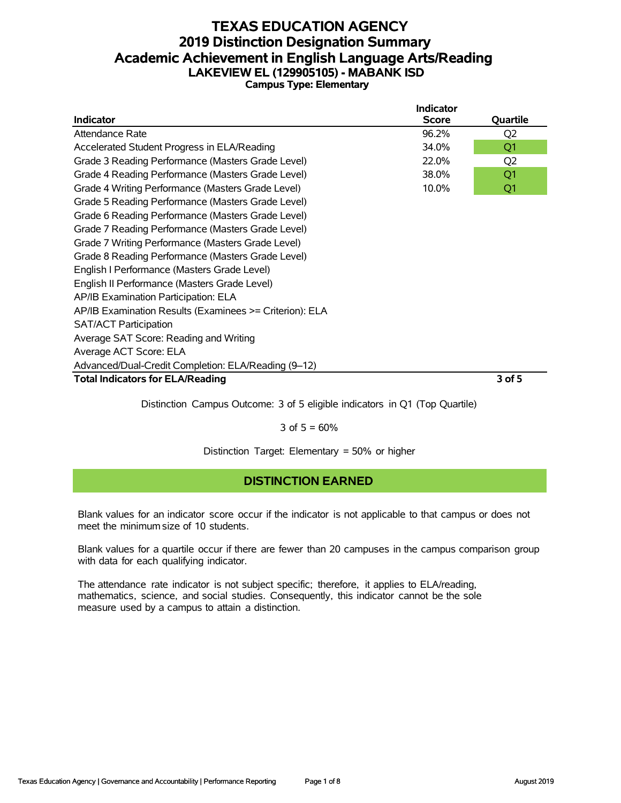#### **TEXAS EDUCATION AGENCY 2019 Distinction Designation Summary Academic Achievement in English Language Arts/Reading LAKEVIEW EL (129905105) - MABANK ISD Campus Type: Elementary**

| Indicator                                               | <b>Indicator</b><br><b>Score</b> | Quartile       |
|---------------------------------------------------------|----------------------------------|----------------|
| Attendance Rate                                         | 96.2%                            | Q <sub>2</sub> |
| Accelerated Student Progress in ELA/Reading             | 34.0%                            | Q <sub>1</sub> |
|                                                         | 22.0%                            |                |
| Grade 3 Reading Performance (Masters Grade Level)       |                                  | Q <sub>2</sub> |
| Grade 4 Reading Performance (Masters Grade Level)       | 38.0%                            | Q1             |
| Grade 4 Writing Performance (Masters Grade Level)       | 10.0%                            | Q1             |
| Grade 5 Reading Performance (Masters Grade Level)       |                                  |                |
| Grade 6 Reading Performance (Masters Grade Level)       |                                  |                |
| Grade 7 Reading Performance (Masters Grade Level)       |                                  |                |
| Grade 7 Writing Performance (Masters Grade Level)       |                                  |                |
| Grade 8 Reading Performance (Masters Grade Level)       |                                  |                |
| English I Performance (Masters Grade Level)             |                                  |                |
| English II Performance (Masters Grade Level)            |                                  |                |
| AP/IB Examination Participation: ELA                    |                                  |                |
| AP/IB Examination Results (Examinees >= Criterion): ELA |                                  |                |
| <b>SAT/ACT Participation</b>                            |                                  |                |
| Average SAT Score: Reading and Writing                  |                                  |                |
| Average ACT Score: ELA                                  |                                  |                |
| Advanced/Dual-Credit Completion: ELA/Reading (9-12)     |                                  |                |
| <b>Total Indicators for ELA/Reading</b>                 |                                  | 3 of 5         |

Distinction Campus Outcome: 3 of 5 eligible indicators in Q1 (Top Quartile)

3 of  $5 = 60%$ 

Distinction Target: Elementary = 50% or higher

## **DISTINCTION EARNED**

Blank values for an indicator score occur if the indicator is not applicable to that campus or does not meet the minimum size of 10 students.

Blank values for a quartile occur if there are fewer than 20 campuses in the campus comparison group with data for each qualifying indicator.

The attendance rate indicator is not subject specific; therefore, it applies to ELA/reading, mathematics, science, and social studies. Consequently, this indicator cannot be the sole measure used by a campus to attain a distinction.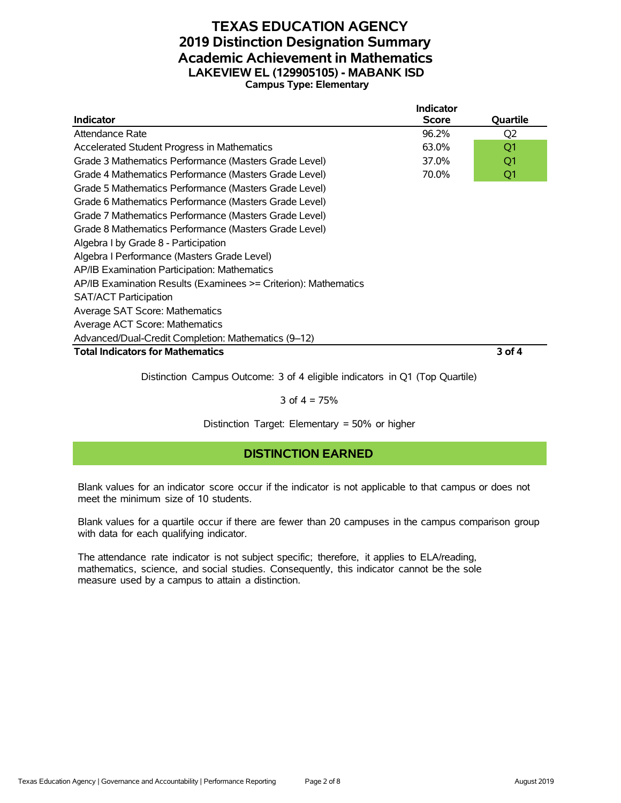#### **TEXAS EDUCATION AGENCY 2019 Distinction Designation Summary Academic Achievement in Mathematics LAKEVIEW EL (129905105) - MABANK ISD Campus Type: Elementary**

|                                                                 | <b>Indicator</b> |                |
|-----------------------------------------------------------------|------------------|----------------|
| <b>Indicator</b>                                                | <b>Score</b>     | Quartile       |
| Attendance Rate                                                 | 96.2%            | Q <sub>2</sub> |
| Accelerated Student Progress in Mathematics                     | 63.0%            | Q1             |
| Grade 3 Mathematics Performance (Masters Grade Level)           | 37.0%            | Q1             |
| Grade 4 Mathematics Performance (Masters Grade Level)           | 70.0%            | Q1             |
| Grade 5 Mathematics Performance (Masters Grade Level)           |                  |                |
| Grade 6 Mathematics Performance (Masters Grade Level)           |                  |                |
| Grade 7 Mathematics Performance (Masters Grade Level)           |                  |                |
| Grade 8 Mathematics Performance (Masters Grade Level)           |                  |                |
| Algebra I by Grade 8 - Participation                            |                  |                |
| Algebra I Performance (Masters Grade Level)                     |                  |                |
| AP/IB Examination Participation: Mathematics                    |                  |                |
| AP/IB Examination Results (Examinees >= Criterion): Mathematics |                  |                |
| <b>SAT/ACT Participation</b>                                    |                  |                |
| Average SAT Score: Mathematics                                  |                  |                |
| Average ACT Score: Mathematics                                  |                  |                |
| Advanced/Dual-Credit Completion: Mathematics (9-12)             |                  |                |
| <b>Total Indicators for Mathematics</b>                         |                  | 3 of 4         |

Distinction Campus Outcome: 3 of 4 eligible indicators in Q1 (Top Quartile)

#### 3 of  $4 = 75%$

Distinction Target: Elementary = 50% or higher

#### **DISTINCTION EARNED**

Blank values for an indicator score occur if the indicator is not applicable to that campus or does not meet the minimum size of 10 students.

Blank values for a quartile occur if there are fewer than 20 campuses in the campus comparison group with data for each qualifying indicator.

The attendance rate indicator is not subject specific; therefore, it applies to ELA/reading, mathematics, science, and social studies. Consequently, this indicator cannot be the sole measure used by a campus to attain a distinction.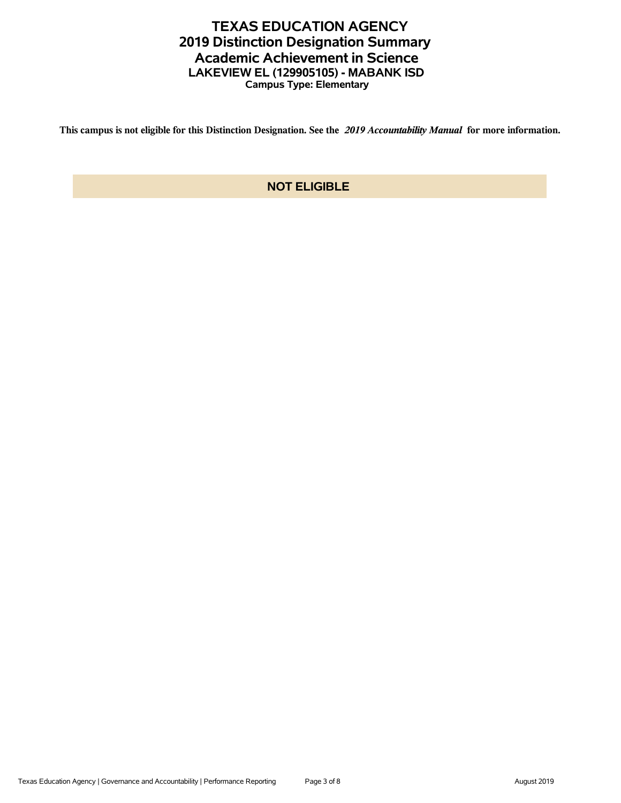## **TEXAS EDUCATION AGENCY 2019 Distinction Designation Summary Academic Achievement in Science LAKEVIEW EL (129905105) - MABANK ISD Campus Type: Elementary**

**This campus is not eligible for this Distinction Designation. See the** *2019 Accountability Manual* **for more information.**

### **NOT ELIGIBLE**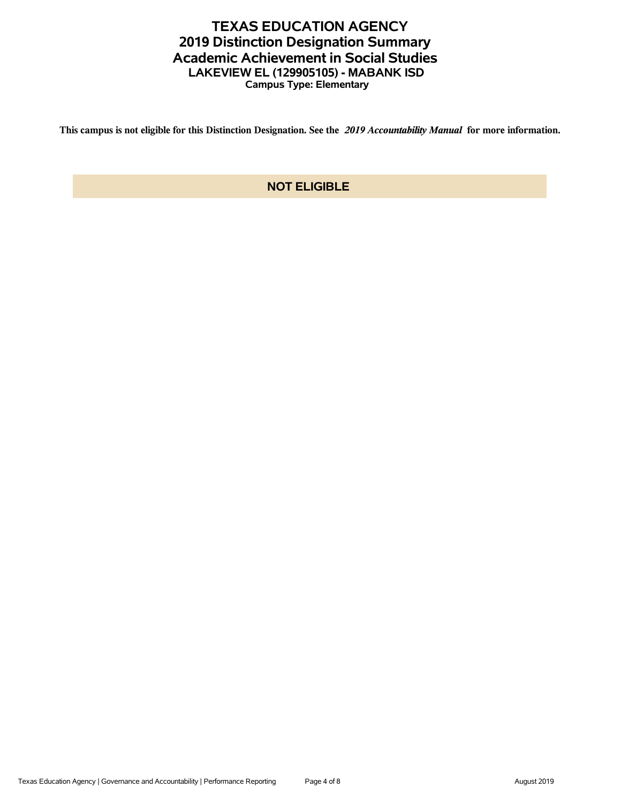## **TEXAS EDUCATION AGENCY 2019 Distinction Designation Summary Academic Achievement in Social Studies LAKEVIEW EL (129905105) - MABANK ISD Campus Type: Elementary**

**This campus is not eligible for this Distinction Designation. See the** *2019 Accountability Manual* **for more information.**

### **NOT ELIGIBLE**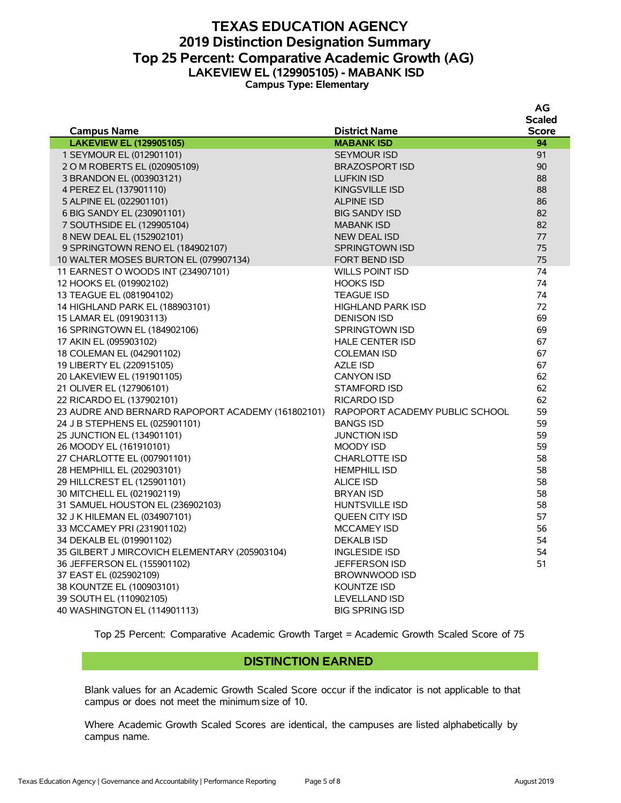#### **TEXAS EDUCATION AGENCY 2019 Distinction Designation Summary Top 25 Percent: Comparative Academic Growth (AG) LAKEVIEW EL (129905105) - MABANK ISD Campus Type: Elementary**

|                                                   |                                | ΑU           |
|---------------------------------------------------|--------------------------------|--------------|
|                                                   |                                | Scaled       |
| <b>Campus Name</b>                                | <b>District Name</b>           | <b>Score</b> |
| <b>LAKEVIEW EL (129905105)</b>                    | <b>MABANK ISD</b>              | 94           |
| 1 SEYMOUR EL (012901101)                          | <b>SEYMOUR ISD</b>             | 91           |
| 2 O M ROBERTS EL (020905109)                      | <b>BRAZOSPORT ISD</b>          | 90           |
| 3 BRANDON EL (003903121)                          | <b>LUFKIN ISD</b>              | 88           |
| 4 PEREZ EL (137901110)                            | <b>KINGSVILLE ISD</b>          | 88           |
| 5 ALPINE EL (022901101)                           | <b>ALPINE ISD</b>              | 86           |
| 6 BIG SANDY EL (230901101)                        | <b>BIG SANDY ISD</b>           | 82           |
| 7 SOUTHSIDE EL (129905104)                        | <b>MABANK ISD</b>              | 82           |
| 8 NEW DEAL EL (152902101)                         | <b>NEW DEAL ISD</b>            | 77           |
| 9 SPRINGTOWN RENO EL (184902107)                  | SPRINGTOWN ISD                 | 75           |
| 10 WALTER MOSES BURTON EL (079907134)             | <b>FORT BEND ISD</b>           | 75           |
| 11 EARNEST O WOODS INT (234907101)                | <b>WILLS POINT ISD</b>         | 74           |
| 12 HOOKS EL (019902102)                           | <b>HOOKS ISD</b>               | 74           |
| 13 TEAGUE EL (081904102)                          | <b>TEAGUE ISD</b>              | 74           |
| 14 HIGHLAND PARK EL (188903101)                   | <b>HIGHLAND PARK ISD</b>       | 72           |
| 15 LAMAR EL (091903113)                           | <b>DENISON ISD</b>             | 69           |
| 16 SPRINGTOWN EL (184902106)                      | <b>SPRINGTOWN ISD</b>          | 69           |
| 17 AKIN EL (095903102)                            | <b>HALE CENTER ISD</b>         | 67           |
| 18 COLEMAN EL (042901102)                         | <b>COLEMAN ISD</b>             | 67           |
| 19 LIBERTY EL (220915105)                         | AZLE ISD                       | 67           |
| 20 LAKEVIEW EL (191901105)                        | <b>CANYON ISD</b>              | 62           |
| 21 OLIVER EL (127906101)                          | <b>STAMFORD ISD</b>            | 62           |
| 22 RICARDO EL (137902101)                         | <b>RICARDO ISD</b>             | 62           |
| 23 AUDRE AND BERNARD RAPOPORT ACADEMY (161802101) | RAPOPORT ACADEMY PUBLIC SCHOOL | 59           |
| 24 J B STEPHENS EL (025901101)                    | <b>BANGS ISD</b>               | 59           |
| 25 JUNCTION EL (134901101)                        | <b>JUNCTION ISD</b>            | 59           |
| 26 MOODY EL (161910101)                           | MOODY ISD                      | 59           |
| 27 CHARLOTTE EL (007901101)                       | <b>CHARLOTTE ISD</b>           | 58           |
| 28 HEMPHILL EL (202903101)                        | <b>HEMPHILL ISD</b>            | 58           |
| 29 HILLCREST EL (125901101)                       | <b>ALICE ISD</b>               | 58           |
| 30 MITCHELL EL (021902119)                        | <b>BRYAN ISD</b>               | 58           |
| 31 SAMUEL HOUSTON EL (236902103)                  | <b>HUNTSVILLE ISD</b>          | 58           |
| 32 J K HILEMAN EL (034907101)                     | <b>QUEEN CITY ISD</b>          | 57           |
| 33 MCCAMEY PRI (231901102)                        | <b>MCCAMEY ISD</b>             | 56           |
| 34 DEKALB EL (019901102)                          | <b>DEKALB ISD</b>              | 54           |
| 35 GILBERT J MIRCOVICH ELEMENTARY (205903104)     | <b>INGLESIDE ISD</b>           | 54           |
| 36 JEFFERSON EL (155901102)                       | <b>JEFFERSON ISD</b>           | 51           |
| 37 EAST EL (025902109)                            | BROWNWOOD ISD                  |              |
| 38 KOUNTZE EL (100903101)                         | <b>KOUNTZE ISD</b>             |              |
| 39 SOUTH EL (110902105)                           | LEVELLAND ISD                  |              |
| 40 WASHINGTON EL (114901113)                      | <b>BIG SPRING ISD</b>          |              |
|                                                   |                                |              |

Top 25 Percent: Comparative Academic Growth Target = Academic Growth Scaled Score of 75

#### **DISTINCTION EARNED**

Blank values for an Academic Growth Scaled Score occur if the indicator is not applicable to that campus or does not meet the minimum size of 10.

Where Academic Growth Scaled Scores are identical, the campuses are listed alphabetically by campus name.

**AG**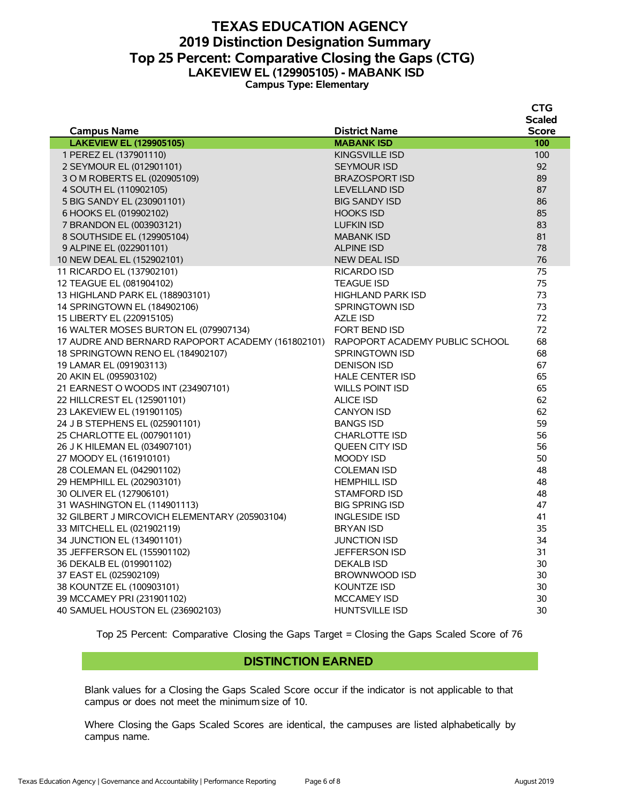#### **TEXAS EDUCATION AGENCY 2019 Distinction Designation Summary Top 25 Percent: Comparative Closing the Gaps (CTG) LAKEVIEW EL (129905105) - MABANK ISD Campus Type: Elementary**

|                                                   |                                | <b>CTG</b>    |
|---------------------------------------------------|--------------------------------|---------------|
|                                                   |                                | <b>Scaled</b> |
| <b>Campus Name</b>                                | <b>District Name</b>           | <b>Score</b>  |
| <b>LAKEVIEW EL (129905105)</b>                    | <b>MABANK ISD</b>              | 100           |
| 1 PEREZ EL (137901110)                            | <b>KINGSVILLE ISD</b>          | 100           |
| 2 SEYMOUR EL (012901101)                          | <b>SEYMOUR ISD</b>             | 92            |
| 3 O M ROBERTS EL (020905109)                      | <b>BRAZOSPORT ISD</b>          | 89            |
| 4 SOUTH EL (110902105)                            | <b>LEVELLAND ISD</b>           | 87            |
| 5 BIG SANDY EL (230901101)                        | <b>BIG SANDY ISD</b>           | 86            |
| 6 HOOKS EL (019902102)                            | <b>HOOKS ISD</b>               | 85            |
| 7 BRANDON EL (003903121)                          | <b>LUFKIN ISD</b>              | 83            |
| 8 SOUTHSIDE EL (129905104)                        | <b>MABANK ISD</b>              | 81            |
| 9 ALPINE EL (022901101)                           | <b>ALPINE ISD</b>              | 78            |
| 10 NEW DEAL EL (152902101)                        | <b>NEW DEAL ISD</b>            | 76            |
| 11 RICARDO EL (137902101)                         | RICARDO ISD                    | 75            |
| 12 TEAGUE EL (081904102)                          | <b>TEAGUE ISD</b>              | 75            |
| 13 HIGHLAND PARK EL (188903101)                   | <b>HIGHLAND PARK ISD</b>       | 73            |
| 14 SPRINGTOWN EL (184902106)                      | <b>SPRINGTOWN ISD</b>          | 73            |
| 15 LIBERTY EL (220915105)                         | AZLE ISD                       | 72            |
| 16 WALTER MOSES BURTON EL (079907134)             | FORT BEND ISD                  | 72            |
| 17 AUDRE AND BERNARD RAPOPORT ACADEMY (161802101) | RAPOPORT ACADEMY PUBLIC SCHOOL | 68            |
| 18 SPRINGTOWN RENO EL (184902107)                 | <b>SPRINGTOWN ISD</b>          | 68            |
| 19 LAMAR EL (091903113)                           | <b>DENISON ISD</b>             | 67            |
| 20 AKIN EL (095903102)                            | <b>HALE CENTER ISD</b>         | 65            |
| 21 EARNEST O WOODS INT (234907101)                | <b>WILLS POINT ISD</b>         | 65            |
| 22 HILLCREST EL (125901101)                       | <b>ALICE ISD</b>               | 62            |
| 23 LAKEVIEW EL (191901105)                        | <b>CANYON ISD</b>              | 62            |
| 24 J B STEPHENS EL (025901101)                    | <b>BANGS ISD</b>               | 59            |
| 25 CHARLOTTE EL (007901101)                       | <b>CHARLOTTE ISD</b>           | 56            |
| 26 J K HILEMAN EL (034907101)                     | <b>OUEEN CITY ISD</b>          | 56            |
| 27 MOODY EL (161910101)                           | MOODY ISD                      | 50            |
| 28 COLEMAN EL (042901102)                         | <b>COLEMAN ISD</b>             | 48            |
| 29 HEMPHILL EL (202903101)                        | <b>HEMPHILL ISD</b>            | 48            |
| 30 OLIVER EL (127906101)                          | STAMFORD ISD                   | 48            |
| 31 WASHINGTON EL (114901113)                      | <b>BIG SPRING ISD</b>          | 47            |
| 32 GILBERT J MIRCOVICH ELEMENTARY (205903104)     | <b>INGLESIDE ISD</b>           | 41            |
| 33 MITCHELL EL (021902119)                        | <b>BRYAN ISD</b>               | 35            |
| 34 JUNCTION EL (134901101)                        | <b>JUNCTION ISD</b>            | 34            |
| 35 JEFFERSON EL (155901102)                       | <b>JEFFERSON ISD</b>           | 31            |
| 36 DEKALB EL (019901102)                          | <b>DEKALB ISD</b>              | 30            |
| 37 EAST EL (025902109)                            | <b>BROWNWOOD ISD</b>           | 30            |
| 38 KOUNTZE EL (100903101)                         | KOUNTZE ISD                    | 30            |
| 39 MCCAMEY PRI (231901102)                        | <b>MCCAMEY ISD</b>             | 30            |
| 40 SAMUEL HOUSTON EL (236902103)                  | <b>HUNTSVILLE ISD</b>          | 30            |
|                                                   |                                |               |

Top 25 Percent: Comparative Closing the Gaps Target = Closing the Gaps Scaled Score of 76

#### **DISTINCTION EARNED**

Blank values for a Closing the Gaps Scaled Score occur if the indicator is not applicable to that campus or does not meet the minimum size of 10.

Where Closing the Gaps Scaled Scores are identical, the campuses are listed alphabetically by campus name.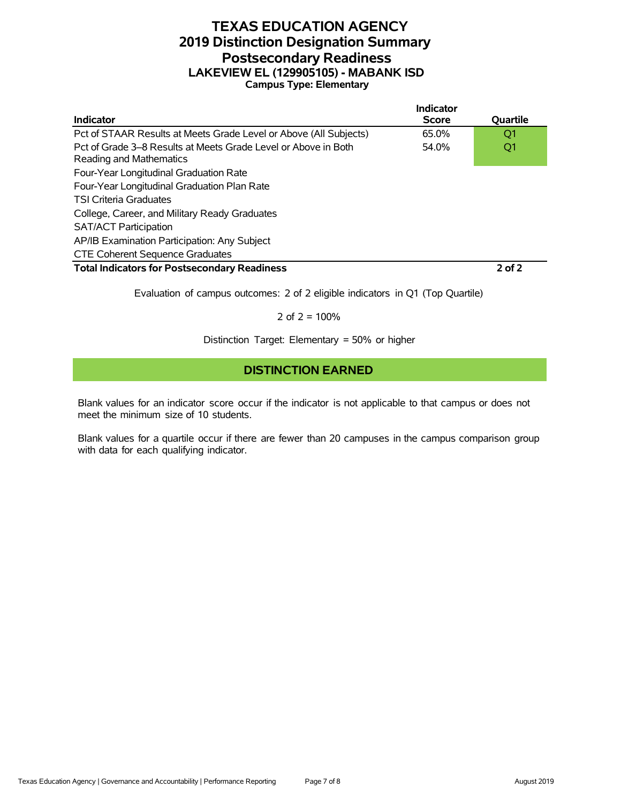### **TEXAS EDUCATION AGENCY 2019 Distinction Designation Summary Postsecondary Readiness LAKEVIEW EL (129905105) - MABANK ISD Campus Type: Elementary**

|                                                                                           | Indicator    |            |
|-------------------------------------------------------------------------------------------|--------------|------------|
| Indicator                                                                                 | <b>Score</b> | Quartile   |
| Pct of STAAR Results at Meets Grade Level or Above (All Subjects)                         | 65.0%        | O1         |
| Pct of Grade 3–8 Results at Meets Grade Level or Above in Both<br>Reading and Mathematics | 54.0%        | Q1         |
| Four-Year Longitudinal Graduation Rate                                                    |              |            |
| Four-Year Longitudinal Graduation Plan Rate                                               |              |            |
| <b>TSI Criteria Graduates</b>                                                             |              |            |
| College, Career, and Military Ready Graduates                                             |              |            |
| <b>SAT/ACT Participation</b>                                                              |              |            |
| AP/IB Examination Participation: Any Subject                                              |              |            |
| <b>CTE Coherent Sequence Graduates</b>                                                    |              |            |
| <b>Total Indicators for Postsecondary Readiness</b>                                       |              | $2$ of $2$ |

Evaluation of campus outcomes: 2 of 2 eligible indicators in Q1 (Top Quartile)

2 of  $2 = 100%$ 

Distinction Target: Elementary = 50% or higher

#### **DISTINCTION EARNED**

Blank values for an indicator score occur if the indicator is not applicable to that campus or does not meet the minimum size of 10 students.

Blank values for a quartile occur if there are fewer than 20 campuses in the campus comparison group with data for each qualifying indicator.